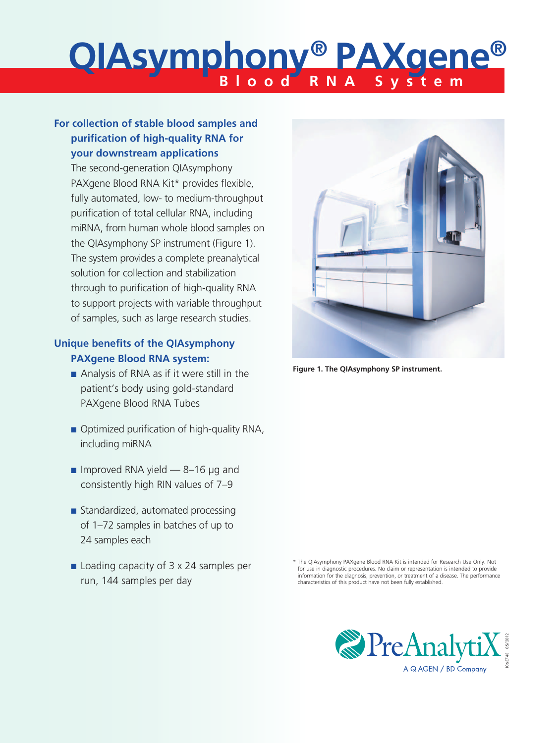# **Blood RNA System QIAsymphony® PAXgene®**

# **For collection of stable blood samples and purification of high-quality RNA for your downstream applications**

The second-generation QIAsymphony PAXgene Blood RNA Kit\* provides flexible, fully automated, low- to medium-throughput purification of total cellular RNA, including miRNA, from human whole blood samples on the QIAsymphony SP instrument (Figure 1). The system provides a complete preanalytical solution for collection and stabilization through to purification of high-quality RNA to support projects with variable throughput of samples, such as large research studies.

# **Unique benefits of the QIAsymphony PAXgene Blood RNA system:**

- $\blacksquare$  Analysis of RNA as if it were still in the patient's body using gold-standard PAXgene Blood RNA Tubes
- Optimized purification of high-quality RNA, including miRNA
- n Improved RNA yield  $-$  8–16  $\mu$ g and consistently high RIN values of 7–9
- $\blacksquare$  Standardized, automated processing of 1–72 samples in batches of up to 24 samples each
- $\blacksquare$  Loading capacity of 3 x 24 samples per run, 144 samples per day



**Figure 1. The QIAsymphony SP instrument.**

\* The QIAsymphony PAXgene Blood RNA Kit is intended for Research Use Only. Not for use in diagnostic procedures. No claim or representation is intended to provide information for the diagnosis, prevention, or treatment of a disease. The performance characteristics of this product have not been fully established.

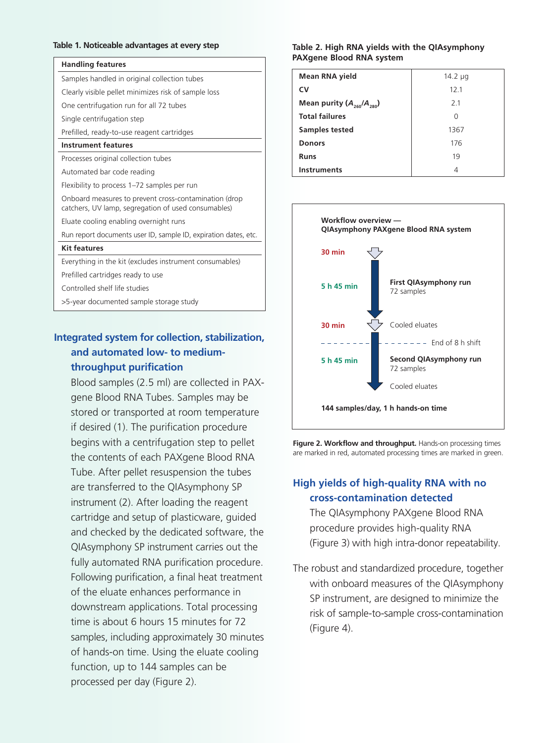#### **Table 1. Noticeable advantages at every step**

## **Handling features**

# **Integrated system for collection, stabilization, and automated low- to mediumthroughput purification**

Blood samples (2.5 ml) are collected in PAXgene Blood RNA Tubes. Samples may be stored or transported at room temperature if desired (1). The purification procedure begins with a centrifugation step to pellet the contents of each PAXgene Blood RNA Tube. After pellet resuspension the tubes are transferred to the QIAsymphony SP instrument (2). After loading the reagent cartridge and setup of plasticware, guided and checked by the dedicated software, the QIAsymphony SP instrument carries out the fully automated RNA purification procedure. Following purification, a final heat treatment of the eluate enhances performance in downstream applications. Total processing time is about 6 hours 15 minutes for 72 samples, including approximately 30 minutes of hands-on time. Using the eluate cooling function, up to 144 samples can be processed per day (Figure 2).

#### **Table 2. High RNA yields with the QIAsymphony PAXgene Blood RNA system**

| Mean RNA yield                  | 14.2 $\mu$ g    |
|---------------------------------|-----------------|
| CV                              | 12 <sub>1</sub> |
| Mean purity $(A_{260}/A_{280})$ | 21              |
| <b>Total failures</b>           | ∩               |
| <b>Samples tested</b>           | 1367            |
| <b>Donors</b>                   | 176             |
| <b>Runs</b>                     | 19              |
| <b>Instruments</b>              | 4               |



**Figure 2. Workflow and throughput.** Hands-on processing times are marked in red, automated processing times are marked in green.

## **High yields of high-quality RNA with no cross-contamination detected**

The QIAsymphony PAXgene Blood RNA procedure provides high-quality RNA (Figure 3) with high intra-donor repeatability.

The robust and standardized procedure, together with onboard measures of the QIAsymphony SP instrument, are designed to minimize the risk of sample-to-sample cross-contamination (Figure 4).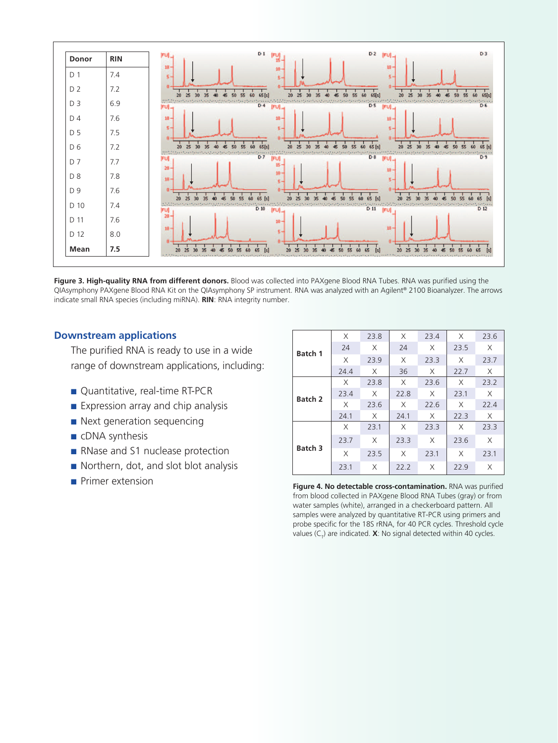

**Figure 3. High-quality RNA from different donors.** Blood was collected into PAXgene Blood RNA Tubes. RNA was purified using the QIAsymphony PAXgene Blood RNA Kit on the QIAsymphony SP instrument. RNA was analyzed with an Agilent® 2100 Bioanalyzer. The arrows indicate small RNA species (including miRNA). **RIN**: RNA integrity number.

## **Downstream applications**

The purified RNA is ready to use in a wide range of downstream applications, including:

- Quantitative, real-time RT-PCR
- $\blacksquare$  Expression array and chip analysis
- $\blacksquare$  Next generation sequencing
- $\blacksquare$  cDNA synthesis
- RNase and S1 nuclease protection
- $\blacksquare$  Northern, dot, and slot blot analysis
- 

| Batch 1        | X    | 23.8 | X    | 23.4 | X    | 23.6 |
|----------------|------|------|------|------|------|------|
|                | 24   | Χ    | 24   | X    | 23.5 | X    |
|                | X    | 23.9 | X    | 23.3 | X    | 23.7 |
|                | 24.4 | X    | 36   | Χ    | 22.7 | X    |
| <b>Batch 2</b> | X    | 23.8 | X    | 23.6 | X    | 23.2 |
|                | 23.4 | X    | 22.8 | X    | 23.1 | X    |
|                | X    | 23.6 | X    | 22.6 | X    | 22.4 |
|                | 24.1 | X    | 24.1 | X    | 22.3 | X    |
| <b>Batch 3</b> | X    | 23.1 | X    | 23.3 | X    | 23.3 |
|                | 23.7 | X    | 23.3 | X    | 23.6 | X    |
|                | X    | 23.5 | X    | 23.1 | X    | 23.1 |
|                | 23.1 | X    | 22.2 | X    | 22.9 | Χ    |

**n**Primer extension **Figure 4. No detectable cross-contamination.** RNA was purified from blood collected in PAXgene Blood RNA Tubes (gray) or from water samples (white), arranged in a checkerboard pattern. All samples were analyzed by quantitative RT-PCR using primers and probe specific for the 18S rRNA, for 40 PCR cycles. Threshold cycle values (C<sub><sub>7</sub>) are indicated. **X**: No signal detected within 40 cycles.</sub>